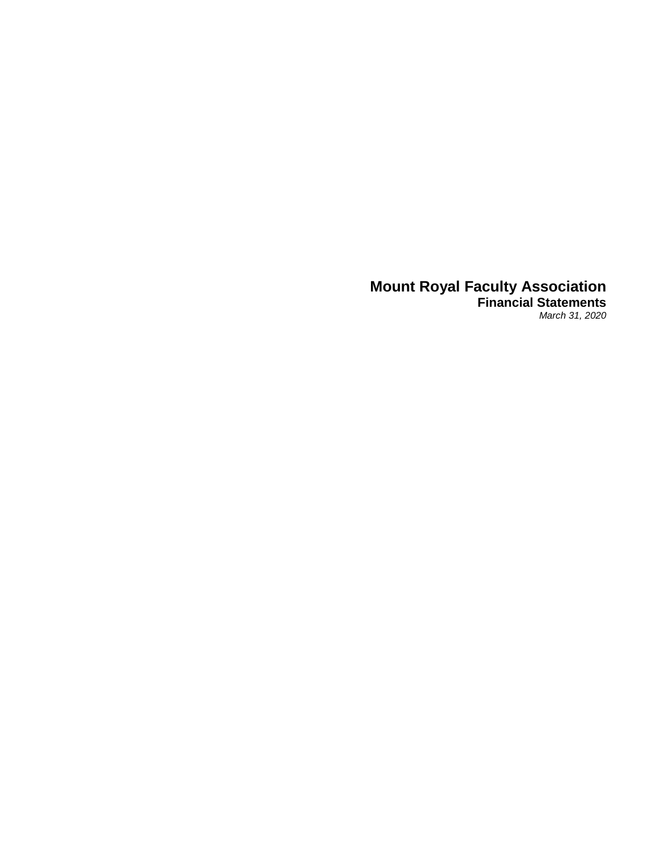### **Mount Royal Faculty Association Financial Statements**  *March 31, 2020*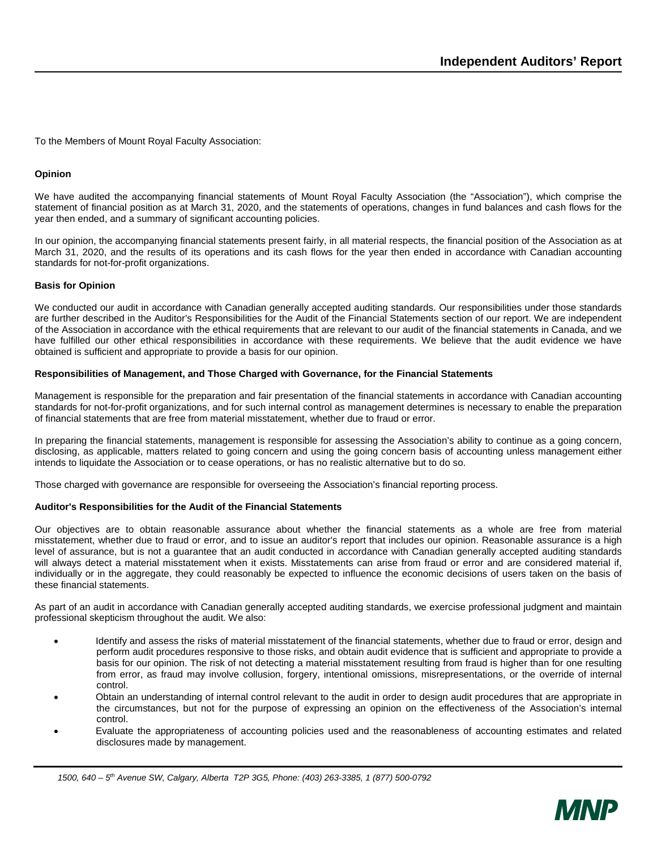To the Members of Mount Royal Faculty Association:

#### **Opinion**

We have audited the accompanying financial statements of Mount Royal Faculty Association (the "Association"), which comprise the statement of financial position as at March 31, 2020, and the statements of operations, changes in fund balances and cash flows for the year then ended, and a summary of significant accounting policies.

In our opinion, the accompanying financial statements present fairly, in all material respects, the financial position of the Association as at March 31, 2020, and the results of its operations and its cash flows for the year then ended in accordance with Canadian accounting standards for not-for-profit organizations.

#### **Basis for Opinion**

We conducted our audit in accordance with Canadian generally accepted auditing standards. Our responsibilities under those standards are further described in the Auditor's Responsibilities for the Audit of the Financial Statements section of our report. We are independent of the Association in accordance with the ethical requirements that are relevant to our audit of the financial statements in Canada, and we have fulfilled our other ethical responsibilities in accordance with these requirements. We believe that the audit evidence we have obtained is sufficient and appropriate to provide a basis for our opinion.

#### **Responsibilities of Management, and Those Charged with Governance, for the Financial Statements**

Management is responsible for the preparation and fair presentation of the financial statements in accordance with Canadian accounting standards for not-for-profit organizations, and for such internal control as management determines is necessary to enable the preparation of financial statements that are free from material misstatement, whether due to fraud or error.

In preparing the financial statements, management is responsible for assessing the Association's ability to continue as a going concern, disclosing, as applicable, matters related to going concern and using the going concern basis of accounting unless management either intends to liquidate the Association or to cease operations, or has no realistic alternative but to do so.

Those charged with governance are responsible for overseeing the Association's financial reporting process.

#### **Auditor's Responsibilities for the Audit of the Financial Statements**

Our objectives are to obtain reasonable assurance about whether the financial statements as a whole are free from material misstatement, whether due to fraud or error, and to issue an auditor's report that includes our opinion. Reasonable assurance is a high level of assurance, but is not a guarantee that an audit conducted in accordance with Canadian generally accepted auditing standards will always detect a material misstatement when it exists. Misstatements can arise from fraud or error and are considered material if, individually or in the aggregate, they could reasonably be expected to influence the economic decisions of users taken on the basis of these financial statements.

As part of an audit in accordance with Canadian generally accepted auditing standards, we exercise professional judgment and maintain professional skepticism throughout the audit. We also:

- Identify and assess the risks of material misstatement of the financial statements, whether due to fraud or error, design and perform audit procedures responsive to those risks, and obtain audit evidence that is sufficient and appropriate to provide a basis for our opinion. The risk of not detecting a material misstatement resulting from fraud is higher than for one resulting from error, as fraud may involve collusion, forgery, intentional omissions, misrepresentations, or the override of internal control.
- Obtain an understanding of internal control relevant to the audit in order to design audit procedures that are appropriate in the circumstances, but not for the purpose of expressing an opinion on the effectiveness of the Association's internal control.
- Evaluate the appropriateness of accounting policies used and the reasonableness of accounting estimates and related disclosures made by management.

*1500, 640 – 5th Avenue SW, Calgary, Alberta T2P 3G5, Phone: (403) 263-3385, 1 (877) 500-0792* 

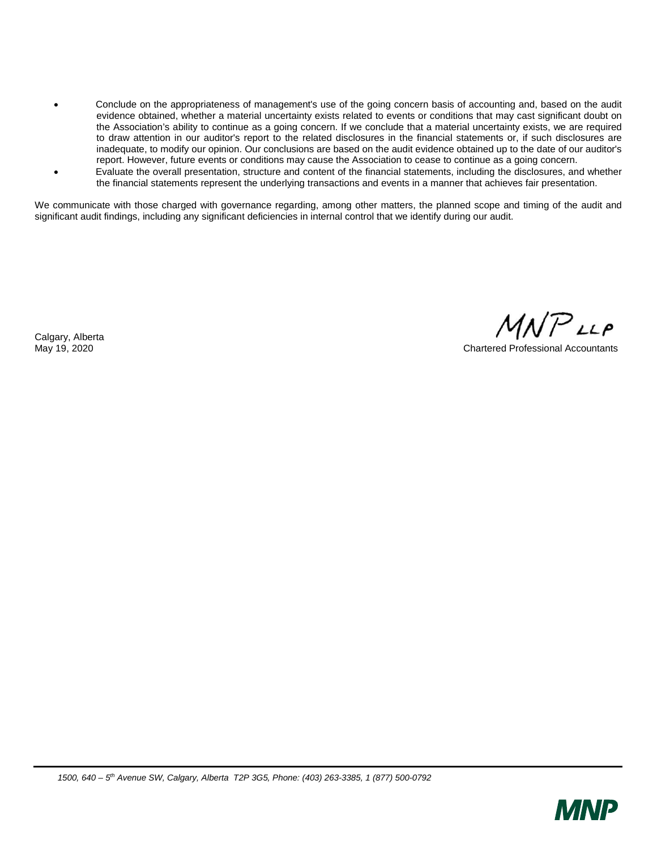- Conclude on the appropriateness of management's use of the going concern basis of accounting and, based on the audit evidence obtained, whether a material uncertainty exists related to events or conditions that may cast significant doubt on the Association's ability to continue as a going concern. If we conclude that a material uncertainty exists, we are required to draw attention in our auditor's report to the related disclosures in the financial statements or, if such disclosures are inadequate, to modify our opinion. Our conclusions are based on the audit evidence obtained up to the date of our auditor's report. However, future events or conditions may cause the Association to cease to continue as a going concern.
- Evaluate the overall presentation, structure and content of the financial statements, including the disclosures, and whether the financial statements represent the underlying transactions and events in a manner that achieves fair presentation.

We communicate with those charged with governance regarding, among other matters, the planned scope and timing of the audit and significant audit findings, including any significant deficiencies in internal control that we identify during our audit.

Calgary, Alberta

 $MNP$ LLP

May 19, 2020 Chartered Professional Accountants

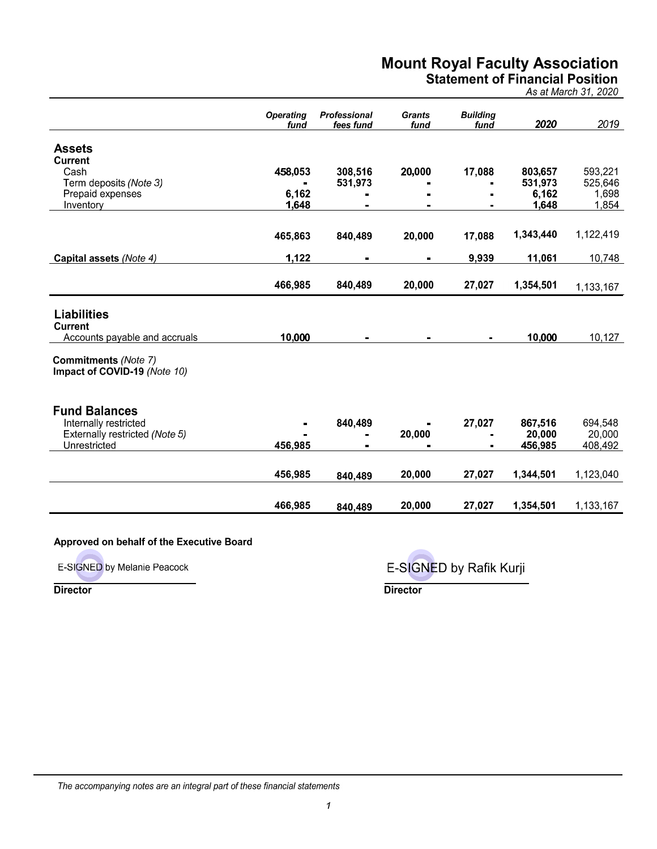# **Mount Royal Faculty Association**<br>Statement of Financial Position

As at March 31, 2020

|                                                                       | <b>Operating</b><br>fund | Professional<br>fees fund | <b>Grants</b><br>fund | <b>Building</b><br>fund | 2020      | 2019      |
|-----------------------------------------------------------------------|--------------------------|---------------------------|-----------------------|-------------------------|-----------|-----------|
| <b>Assets</b>                                                         |                          |                           |                       |                         |           |           |
| <b>Current</b>                                                        |                          |                           |                       |                         |           |           |
| Cash                                                                  | 458,053                  | 308,516                   | 20,000                | 17,088                  | 803,657   | 593,221   |
| Term deposits (Note 3)                                                | $\blacksquare$           | 531,973                   | ÷.                    | $\blacksquare$          | 531,973   | 525,646   |
| Prepaid expenses                                                      | 6,162                    |                           | $\blacksquare$        |                         | 6,162     | 1,698     |
| Inventory                                                             | 1,648                    |                           |                       |                         | 1,648     | 1,854     |
|                                                                       | 465,863                  | 840,489                   | 20,000                | 17,088                  | 1,343,440 | 1,122,419 |
| Capital assets (Note 4)                                               | 1,122                    | $\blacksquare$            | $\blacksquare$        | 9,939                   | 11,061    | 10,748    |
|                                                                       |                          |                           |                       |                         |           |           |
|                                                                       | 466,985                  | 840,489                   | 20,000                | 27,027                  | 1,354,501 | 1,133,167 |
| <b>Liabilities</b><br><b>Current</b><br>Accounts payable and accruals | 10,000                   |                           | $\blacksquare$        | $\blacksquare$          | 10,000    | 10,127    |
| <b>Commitments (Note 7)</b><br>Impact of COVID-19 (Note 10)           |                          |                           |                       |                         |           |           |
| <b>Fund Balances</b>                                                  |                          |                           |                       |                         |           |           |
| Internally restricted                                                 |                          | 840,489                   |                       | 27,027                  | 867,516   | 694,548   |
| Externally restricted (Note 5)                                        |                          | $\blacksquare$            | 20,000                | $\blacksquare$          | 20,000    | 20,000    |
| Unrestricted                                                          | 456,985                  | $\blacksquare$            | ÷.                    | $\blacksquare$          | 456,985   | 408,492   |
|                                                                       | 456,985                  | 840,489                   | 20,000                | 27,027                  | 1,344,501 | 1,123,040 |
|                                                                       | 466,985                  | 840,489                   | 20,000                | 27,027                  | 1,354,501 | 1,133,167 |

#### Approved on behalf of the Executive Board

E-SIGNED by Melanie Peacock

E-SIGNED by Rafik Kurji

**Director** 

**Director** 

The accompanying notes are an integral part of these financial statements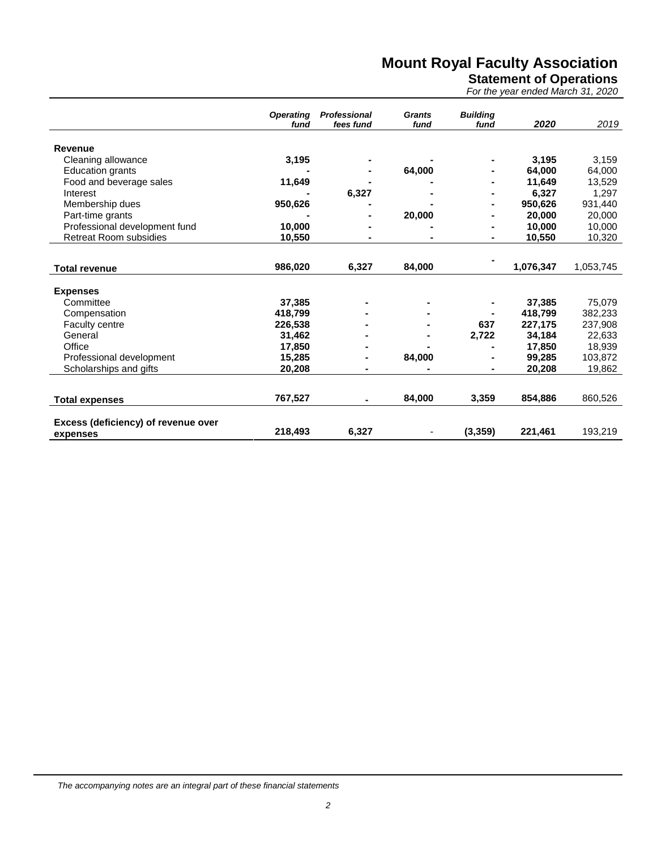# **Mount Royal Faculty Association**

#### **Statement of Operations**

*For the year ended March 31, 2020* 

|                                     | <b>Operating</b><br>fund | Professional<br>fees fund | <b>Grants</b><br>fund | <b>Building</b><br>fund | 2020      | 2019      |
|-------------------------------------|--------------------------|---------------------------|-----------------------|-------------------------|-----------|-----------|
|                                     |                          |                           |                       |                         |           |           |
| <b>Revenue</b>                      |                          |                           |                       |                         |           |           |
| Cleaning allowance                  | 3,195                    |                           |                       |                         | 3,195     | 3,159     |
| <b>Education grants</b>             |                          |                           | 64,000                |                         | 64,000    | 64,000    |
| Food and beverage sales             | 11,649                   |                           |                       |                         | 11,649    | 13,529    |
| Interest                            |                          | 6,327                     |                       |                         | 6,327     | 1,297     |
| Membership dues                     | 950,626                  |                           |                       |                         | 950,626   | 931,440   |
| Part-time grants                    |                          |                           | 20,000                |                         | 20,000    | 20,000    |
| Professional development fund       | 10.000                   |                           |                       |                         | 10.000    | 10,000    |
| Retreat Room subsidies              | 10,550                   |                           |                       | $\blacksquare$          | 10,550    | 10,320    |
|                                     |                          |                           |                       |                         |           |           |
| <b>Total revenue</b>                | 986,020                  | 6,327                     | 84,000                |                         | 1,076,347 | 1,053,745 |
| <b>Expenses</b>                     |                          |                           |                       |                         |           |           |
| Committee                           | 37,385                   |                           |                       |                         | 37,385    | 75,079    |
|                                     | 418,799                  |                           |                       |                         |           |           |
| Compensation                        |                          |                           |                       | 637                     | 418,799   | 382,233   |
| Faculty centre<br>General           | 226,538                  |                           |                       |                         | 227,175   | 237,908   |
|                                     | 31,462                   |                           |                       | 2,722                   | 34,184    | 22,633    |
| Office                              | 17,850                   |                           |                       |                         | 17,850    | 18,939    |
| Professional development            | 15,285                   |                           | 84,000                |                         | 99,285    | 103,872   |
| Scholarships and gifts              | 20,208                   |                           |                       |                         | 20,208    | 19,862    |
|                                     |                          |                           |                       |                         |           |           |
| <b>Total expenses</b>               | 767,527                  |                           | 84,000                | 3,359                   | 854,886   | 860,526   |
| Excess (deficiency) of revenue over |                          |                           |                       |                         |           |           |
| expenses                            | 218,493                  | 6,327                     |                       | (3, 359)                | 221,461   | 193,219   |

*The accompanying notes are an integral part of these financial statements*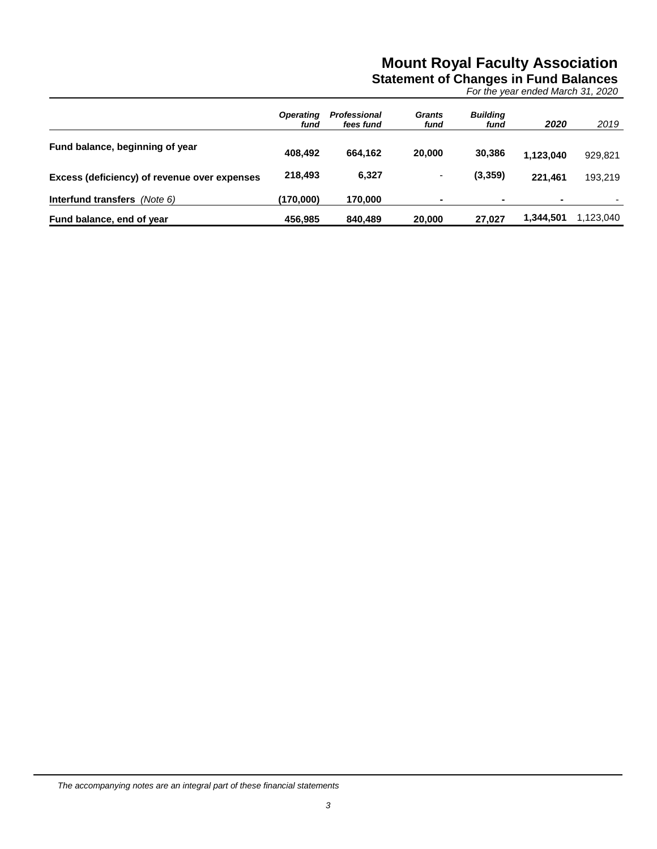## **Mount Royal Faculty Association**

#### **Statement of Changes in Fund Balances**

*For the year ended March 31, 2020* 

|                                              | <b>Operating</b><br>fund | Professional<br>fees fund | <b>Grants</b><br>fund | <b>Building</b><br>fund | 2020           | 2019      |
|----------------------------------------------|--------------------------|---------------------------|-----------------------|-------------------------|----------------|-----------|
| Fund balance, beginning of year              | 408.492                  | 664.162                   | 20,000                | 30,386                  | 1,123,040      | 929,821   |
| Excess (deficiency) of revenue over expenses | 218,493                  | 6,327                     |                       | (3,359)                 | 221.461        | 193,219   |
| Interfund transfers (Note 6)                 | (170,000)                | 170.000                   |                       | ۰                       | $\blacksquare$ |           |
| Fund balance, end of year                    | 456.985                  | 840.489                   | 20,000                | 27.027                  | 1.344.501      | 1,123,040 |

*The accompanying notes are an integral part of these financial statements*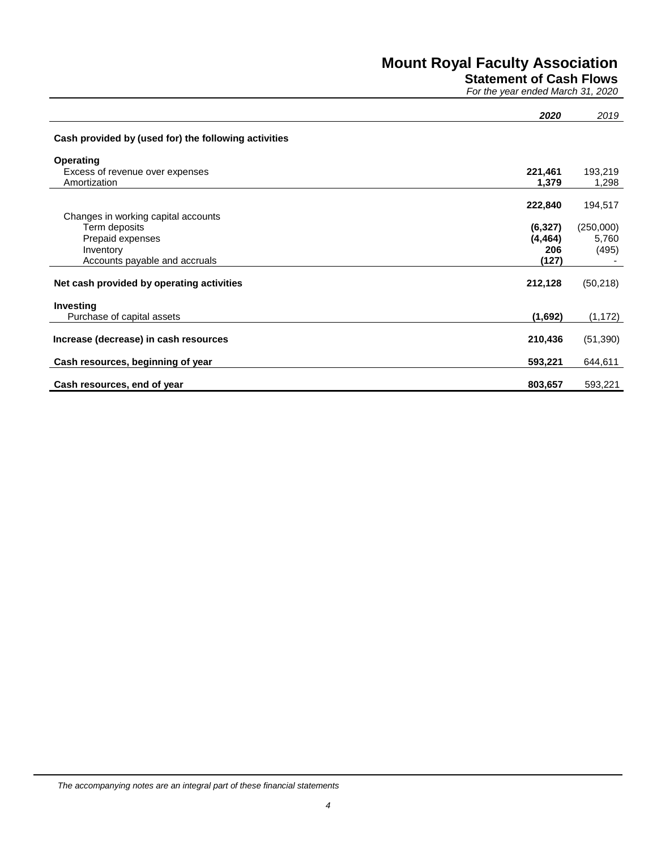**Mount Royal Faculty Association** 

**Statement of Cash Flows** 

*For the year ended March 31, 2020* 

| Cash provided by (used for) the following activities<br>Operating<br>221,461<br>Excess of revenue over expenses<br>Amortization<br>1,379<br>222,840<br>Changes in working capital accounts<br>Term deposits<br>(250,000)<br>(6, 327)<br>Prepaid expenses<br>(4, 464)<br>Inventory<br>206<br>Accounts payable and accruals<br>(127)<br>Net cash provided by operating activities<br>212,128<br>Investing<br>Purchase of capital assets<br>(1,692)<br>Increase (decrease) in cash resources<br>210,436<br>(51, 390)<br>Cash resources, beginning of year<br>593,221 | 2020 | 2019      |
|-------------------------------------------------------------------------------------------------------------------------------------------------------------------------------------------------------------------------------------------------------------------------------------------------------------------------------------------------------------------------------------------------------------------------------------------------------------------------------------------------------------------------------------------------------------------|------|-----------|
|                                                                                                                                                                                                                                                                                                                                                                                                                                                                                                                                                                   |      |           |
|                                                                                                                                                                                                                                                                                                                                                                                                                                                                                                                                                                   |      |           |
|                                                                                                                                                                                                                                                                                                                                                                                                                                                                                                                                                                   |      | 193,219   |
|                                                                                                                                                                                                                                                                                                                                                                                                                                                                                                                                                                   |      | 1,298     |
|                                                                                                                                                                                                                                                                                                                                                                                                                                                                                                                                                                   |      |           |
|                                                                                                                                                                                                                                                                                                                                                                                                                                                                                                                                                                   |      | 194,517   |
|                                                                                                                                                                                                                                                                                                                                                                                                                                                                                                                                                                   |      |           |
|                                                                                                                                                                                                                                                                                                                                                                                                                                                                                                                                                                   |      |           |
|                                                                                                                                                                                                                                                                                                                                                                                                                                                                                                                                                                   |      | 5,760     |
|                                                                                                                                                                                                                                                                                                                                                                                                                                                                                                                                                                   |      | (495)     |
|                                                                                                                                                                                                                                                                                                                                                                                                                                                                                                                                                                   |      |           |
|                                                                                                                                                                                                                                                                                                                                                                                                                                                                                                                                                                   |      | (50, 218) |
|                                                                                                                                                                                                                                                                                                                                                                                                                                                                                                                                                                   |      |           |
|                                                                                                                                                                                                                                                                                                                                                                                                                                                                                                                                                                   |      |           |
|                                                                                                                                                                                                                                                                                                                                                                                                                                                                                                                                                                   |      | (1, 172)  |
|                                                                                                                                                                                                                                                                                                                                                                                                                                                                                                                                                                   |      |           |
|                                                                                                                                                                                                                                                                                                                                                                                                                                                                                                                                                                   |      |           |
|                                                                                                                                                                                                                                                                                                                                                                                                                                                                                                                                                                   |      | 644,611   |
| 803,657<br>Cash resources, end of year                                                                                                                                                                                                                                                                                                                                                                                                                                                                                                                            |      | 593,221   |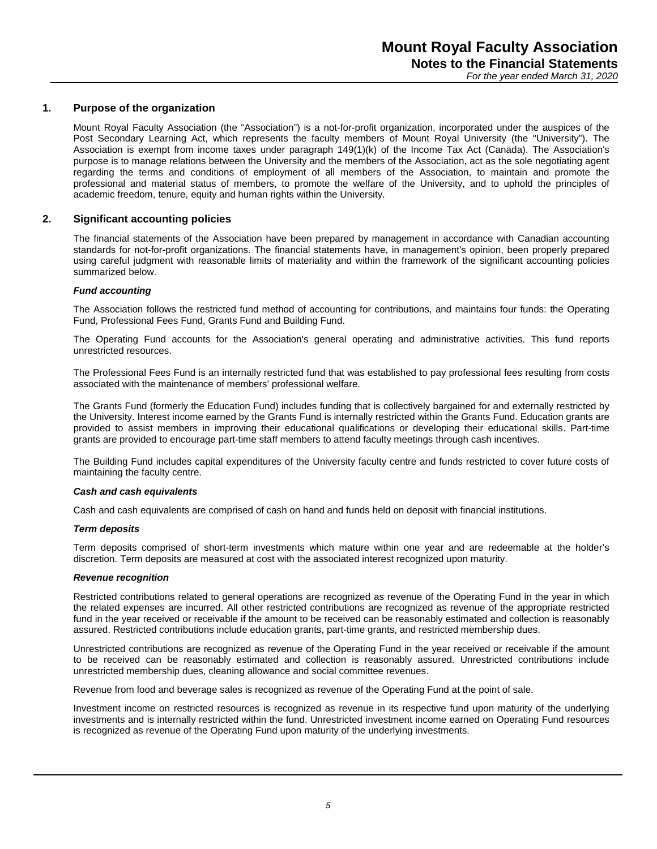#### **1. Purpose of the organization**

Mount Royal Faculty Association (the "Association") is a not-for-profit organization, incorporated under the auspices of the Post Secondary Learning Act, which represents the faculty members of Mount Royal University (the "University"). The Association is exempt from income taxes under paragraph 149(1)(k) of the Income Tax Act (Canada). The Association's purpose is to manage relations between the University and the members of the Association, act as the sole negotiating agent regarding the terms and conditions of employment of all members of the Association, to maintain and promote the professional and material status of members, to promote the welfare of the University, and to uphold the principles of academic freedom, tenure, equity and human rights within the University.

#### **2. Significant accounting policies**

The financial statements of the Association have been prepared by management in accordance with Canadian accounting standards for not-for-profit organizations. The financial statements have, in management's opinion, been properly prepared using careful judgment with reasonable limits of materiality and within the framework of the significant accounting policies summarized below.

#### *Fund accounting*

The Association follows the restricted fund method of accounting for contributions, and maintains four funds: the Operating Fund, Professional Fees Fund, Grants Fund and Building Fund.

The Operating Fund accounts for the Association's general operating and administrative activities. This fund reports unrestricted resources.

The Professional Fees Fund is an internally restricted fund that was established to pay professional fees resulting from costs associated with the maintenance of members' professional welfare.

The Grants Fund (formerly the Education Fund) includes funding that is collectively bargained for and externally restricted by the University. Interest income earned by the Grants Fund is internally restricted within the Grants Fund. Education grants are provided to assist members in improving their educational qualifications or developing their educational skills. Part-time grants are provided to encourage part-time staff members to attend faculty meetings through cash incentives.

The Building Fund includes capital expenditures of the University faculty centre and funds restricted to cover future costs of maintaining the faculty centre.

#### *Cash and cash equivalents*

Cash and cash equivalents are comprised of cash on hand and funds held on deposit with financial institutions.

#### *Term deposits*

Term deposits comprised of short-term investments which mature within one year and are redeemable at the holder's discretion. Term deposits are measured at cost with the associated interest recognized upon maturity.

#### *Revenue recognition*

Restricted contributions related to general operations are recognized as revenue of the Operating Fund in the year in which the related expenses are incurred. All other restricted contributions are recognized as revenue of the appropriate restricted fund in the year received or receivable if the amount to be received can be reasonably estimated and collection is reasonably assured. Restricted contributions include education grants, part-time grants, and restricted membership dues.

Unrestricted contributions are recognized as revenue of the Operating Fund in the year received or receivable if the amount to be received can be reasonably estimated and collection is reasonably assured. Unrestricted contributions include unrestricted membership dues, cleaning allowance and social committee revenues.

Revenue from food and beverage sales is recognized as revenue of the Operating Fund at the point of sale.

Investment income on restricted resources is recognized as revenue in its respective fund upon maturity of the underlying investments and is internally restricted within the fund. Unrestricted investment income earned on Operating Fund resources is recognized as revenue of the Operating Fund upon maturity of the underlying investments.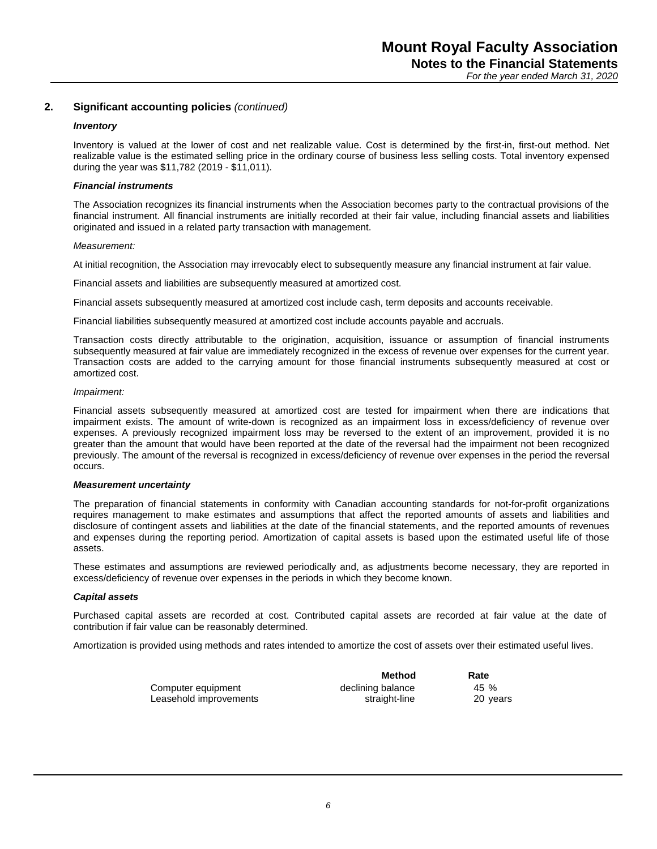#### **2. Significant accounting policies** *(continued)*

#### *Inventory*

Inventory is valued at the lower of cost and net realizable value. Cost is determined by the first-in, first-out method. Net realizable value is the estimated selling price in the ordinary course of business less selling costs. Total inventory expensed during the year was \$11,782 (2019 - \$11,011).

#### *Financial instruments*

The Association recognizes its financial instruments when the Association becomes party to the contractual provisions of the financial instrument. All financial instruments are initially recorded at their fair value, including financial assets and liabilities originated and issued in a related party transaction with management.

#### *Measurement:*

At initial recognition, the Association may irrevocably elect to subsequently measure any financial instrument at fair value.

Financial assets and liabilities are subsequently measured at amortized cost.

Financial assets subsequently measured at amortized cost include cash, term deposits and accounts receivable.

Financial liabilities subsequently measured at amortized cost include accounts payable and accruals.

Transaction costs directly attributable to the origination, acquisition, issuance or assumption of financial instruments subsequently measured at fair value are immediately recognized in the excess of revenue over expenses for the current year. Transaction costs are added to the carrying amount for those financial instruments subsequently measured at cost or amortized cost.

#### *Impairment:*

Financial assets subsequently measured at amortized cost are tested for impairment when there are indications that impairment exists. The amount of write-down is recognized as an impairment loss in excess/deficiency of revenue over expenses. A previously recognized impairment loss may be reversed to the extent of an improvement, provided it is no greater than the amount that would have been reported at the date of the reversal had the impairment not been recognized previously. The amount of the reversal is recognized in excess/deficiency of revenue over expenses in the period the reversal occurs.

#### *Measurement uncertainty*

The preparation of financial statements in conformity with Canadian accounting standards for not-for-profit organizations requires management to make estimates and assumptions that affect the reported amounts of assets and liabilities and disclosure of contingent assets and liabilities at the date of the financial statements, and the reported amounts of revenues and expenses during the reporting period. Amortization of capital assets is based upon the estimated useful life of those assets.

These estimates and assumptions are reviewed periodically and, as adjustments become necessary, they are reported in excess/deficiency of revenue over expenses in the periods in which they become known.

#### *Capital assets*

Purchased capital assets are recorded at cost. Contributed capital assets are recorded at fair value at the date of contribution if fair value can be reasonably determined.

Amortization is provided using methods and rates intended to amortize the cost of assets over their estimated useful lives.

|                        | <b>Method</b>     | Rate     |
|------------------------|-------------------|----------|
| Computer equipment     | declining balance | 45 %     |
| Leasehold improvements | straight-line     | 20 years |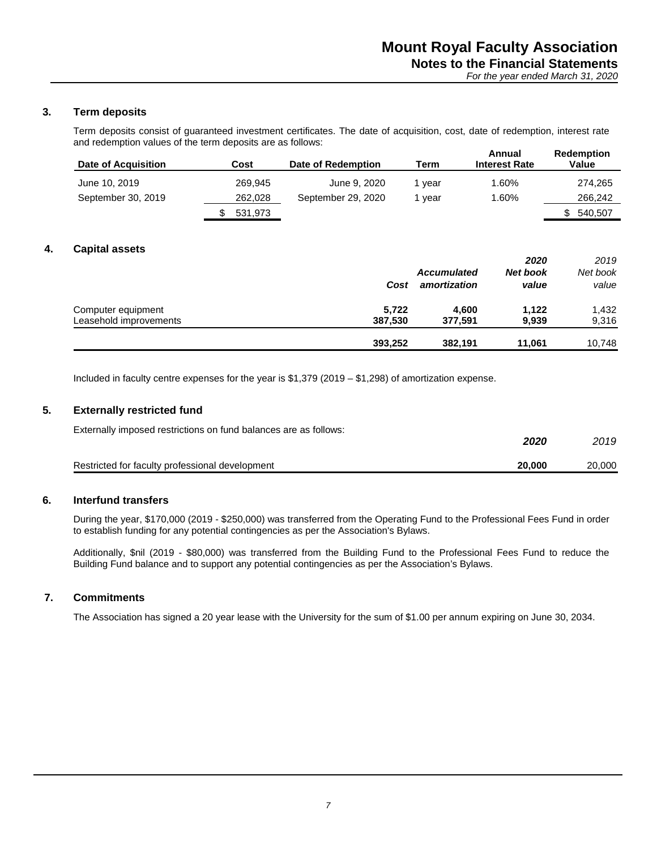*2020 2019*

#### **3. Term deposits**

Term deposits consist of guaranteed investment certificates. The date of acquisition, cost, date of redemption, interest rate and redemption values of the term deposits are as follows: **Annual Redemption** 

| Date of Acquisition | Cost    | Date of Redemption | Term | Alliludi<br><b>Interest Rate</b> | Regeription<br>Value |
|---------------------|---------|--------------------|------|----------------------------------|----------------------|
| June 10, 2019       | 269.945 | June 9, 2020       | vear | 1.60%                            | 274.265              |
| September 30, 2019  | 262,028 | September 29, 2020 | vear | 1.60%                            | 266,242              |
|                     | 531,973 |                    |      |                                  | 540,507              |

#### **4. Capital assets**

|                        |         |                    | 2020     | 2019     |
|------------------------|---------|--------------------|----------|----------|
|                        |         | <b>Accumulated</b> | Net book | Net book |
|                        | Cost    | amortization       | value    | value    |
| Computer equipment     | 5.722   | 4.600              | 1.122    | 1,432    |
| Leasehold improvements | 387,530 | 377.591            | 9,939    | 9,316    |
|                        | 393,252 | 382,191            | 11.061   | 10,748   |

Included in faculty centre expenses for the year is \$1,379 (2019 – \$1,298) of amortization expense.

#### **5. Externally restricted fund**

Externally imposed restrictions on fund balances are as follows:

|                                                 | ∠∪∠∪   | 20 I V |
|-------------------------------------------------|--------|--------|
| Restricted for faculty professional development | 20.000 | 20.000 |

#### **6. Interfund transfers**

During the year, \$170,000 (2019 - \$250,000) was transferred from the Operating Fund to the Professional Fees Fund in order to establish funding for any potential contingencies as per the Association's Bylaws.

Additionally, \$nil (2019 - \$80,000) was transferred from the Building Fund to the Professional Fees Fund to reduce the Building Fund balance and to support any potential contingencies as per the Association's Bylaws.

#### **7. Commitments**

The Association has signed a 20 year lease with the University for the sum of \$1.00 per annum expiring on June 30, 2034.